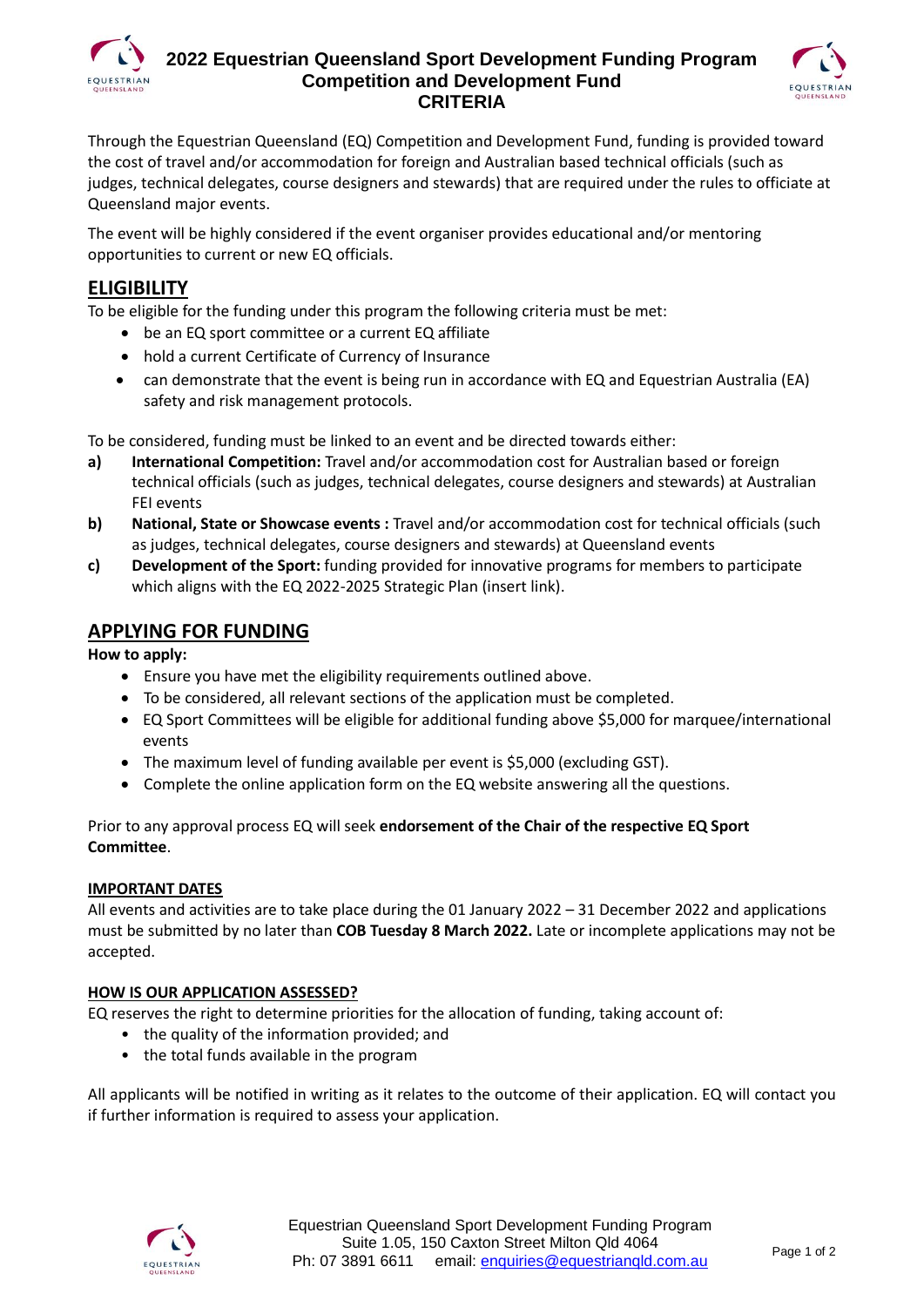

### **2022 Equestrian Queensland Sport Development Funding Program Competition and Development Fund CRITERIA**



Through the Equestrian Queensland (EQ) Competition and Development Fund, funding is provided toward the cost of travel and/or accommodation for foreign and Australian based technical officials (such as judges, technical delegates, course designers and stewards) that are required under the rules to officiate at Queensland major events.

The event will be highly considered if the event organiser provides educational and/or mentoring opportunities to current or new EQ officials.

# **ELIGIBILITY**

To be eligible for the funding under this program the following criteria must be met:

- be an EQ sport committee or a current EQ affiliate
- hold a current Certificate of Currency of Insurance
- can demonstrate that the event is being run in accordance with EQ and Equestrian Australia (EA) safety and risk management protocols.

To be considered, funding must be linked to an event and be directed towards either:

- **a) International Competition:** Travel and/or accommodation cost for Australian based or foreign technical officials (such as judges, technical delegates, course designers and stewards) at Australian FEI events
- **b) National, State or Showcase events :** Travel and/or accommodation cost for technical officials (such as judges, technical delegates, course designers and stewards) at Queensland events
- **c) Development of the Sport:** funding provided for innovative programs for members to participate which aligns with the EQ 2022-2025 Strategic Plan (insert link).

# **APPLYING FOR FUNDING**

**How to apply:**

- Ensure you have met the eligibility requirements outlined above.
- To be considered, all relevant sections of the application must be completed.
- EQ Sport Committees will be eligible for additional funding above \$5,000 for marquee/international events
- The maximum level of funding available per event is \$5,000 (excluding GST).
- Complete the online application form on the EQ website answering all the questions.

Prior to any approval process EQ will seek **endorsement of the Chair of the respective EQ Sport Committee**.

### **IMPORTANT DATES**

All events and activities are to take place during the 01 January 2022 – 31 December 2022 and applications must be submitted by no later than **COB Tuesday 8 March 2022.** Late or incomplete applications may not be accepted.

### **HOW IS OUR APPLICATION ASSESSED?**

EQ reserves the right to determine priorities for the allocation of funding, taking account of:

- the quality of the information provided; and
- the total funds available in the program

All applicants will be notified in writing as it relates to the outcome of their application. EQ will contact you if further information is required to assess your application.